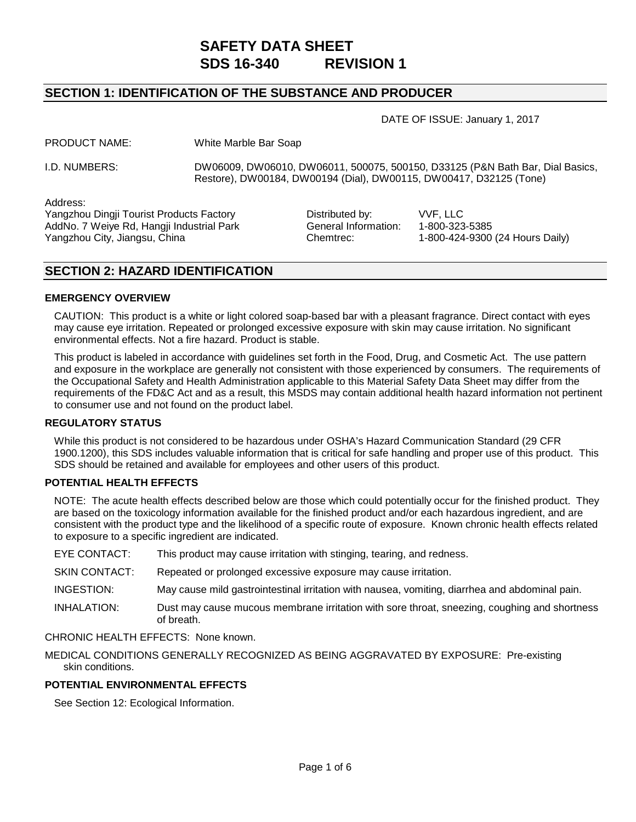# **SAFETY DATA SHEET SDS 16-340 REVISION 1**

# **SECTION 1: IDENTIFICATION OF THE SUBSTANCE AND PRODUCER**

DATE OF ISSUE: January 1, 2017

| White Marble Bar Soap |
|-----------------------|
|                       |

I.D. NUMBERS: DW06009, DW06010, DW06011, 500075, 500150, D33125 (P&N Bath Bar, Dial Basics, Restore), DW00184, DW00194 (Dial), DW00115, DW00417, D32125 (Tone)

Address:

Yangzhou Dingji Tourist Products Factory Distributed by: VVF, LLC<br>AddNo. 7 Weive Rd. Hangii Industrial Park General Information: 1-800-323-5385 AddNo. 7 Weiye Rd, Hangji Industrial Park Yangzhou City, Jiangsu, China Chemtrec: 1-800-424-9300 (24 Hours Daily)

# **SECTION 2: HAZARD IDENTIFICATION**

#### **EMERGENCY OVERVIEW**

CAUTION: This product is a white or light colored soap-based bar with a pleasant fragrance. Direct contact with eyes may cause eye irritation. Repeated or prolonged excessive exposure with skin may cause irritation. No significant environmental effects. Not a fire hazard. Product is stable.

This product is labeled in accordance with guidelines set forth in the Food, Drug, and Cosmetic Act. The use pattern and exposure in the workplace are generally not consistent with those experienced by consumers. The requirements of the Occupational Safety and Health Administration applicable to this Material Safety Data Sheet may differ from the requirements of the FD&C Act and as a result, this MSDS may contain additional health hazard information not pertinent to consumer use and not found on the product label.

#### **REGULATORY STATUS**

While this product is not considered to be hazardous under OSHA's Hazard Communication Standard (29 CFR 1900.1200), this SDS includes valuable information that is critical for safe handling and proper use of this product. This SDS should be retained and available for employees and other users of this product.

#### **POTENTIAL HEALTH EFFECTS**

NOTE: The acute health effects described below are those which could potentially occur for the finished product. They are based on the toxicology information available for the finished product and/or each hazardous ingredient, and are consistent with the product type and the likelihood of a specific route of exposure. Known chronic health effects related to exposure to a specific ingredient are indicated.

EYE CONTACT: This product may cause irritation with stinging, tearing, and redness.

SKIN CONTACT:Repeated or prolonged excessive exposure may cause irritation.

INGESTION:May cause mild gastrointestinal irritation with nausea, vomiting, diarrhea and abdominal pain.

INHALATION:Dust may cause mucous membrane irritation with sore throat, sneezing, coughing and shortness of breath.

CHRONIC HEALTH EFFECTS:None known.

MEDICAL CONDITIONS GENERALLY RECOGNIZED AS BEING AGGRAVATED BY EXPOSURE:Pre-existing skin conditions.

## **POTENTIAL ENVIRONMENTAL EFFECTS**

See Section 12: Ecological Information.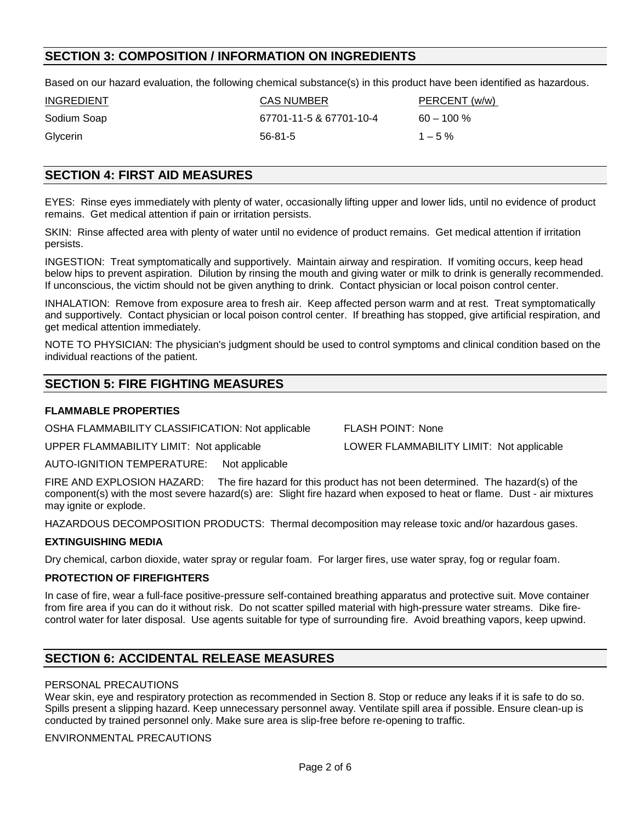# **SECTION 3: COMPOSITION / INFORMATION ON INGREDIENTS**

Based on our hazard evaluation, the following chemical substance(s) in this product have been identified as hazardous.

| <b>INGREDIENT</b> | <b>CAS NUMBER</b>       | PERCENT (w/w) |
|-------------------|-------------------------|---------------|
| Sodium Soap       | 67701-11-5 & 67701-10-4 | $60 - 100 \%$ |
| Glycerin          | $56-81-5$               | $1 - 5\%$     |

# **SECTION 4: FIRST AID MEASURES**

EYES:Rinse eyes immediately with plenty of water, occasionally lifting upper and lower lids, until no evidence of product remains. Get medical attention if pain or irritation persists.

SKIN:Rinse affected area with plenty of water until no evidence of product remains. Get medical attention if irritation persists.

INGESTION:Treat symptomatically and supportively. Maintain airway and respiration. If vomiting occurs, keep head below hips to prevent aspiration. Dilution by rinsing the mouth and giving water or milk to drink is generally recommended. If unconscious, the victim should not be given anything to drink. Contact physician or local poison control center.

INHALATION: Remove from exposure area to fresh air. Keep affected person warm and at rest. Treat symptomatically and supportively. Contact physician or local poison control center. If breathing has stopped, give artificial respiration, and get medical attention immediately.

NOTE TO PHYSICIAN: The physician's judgment should be used to control symptoms and clinical condition based on the individual reactions of the patient.

# **SECTION 5: FIRE FIGHTING MEASURES**

#### **FLAMMABLE PROPERTIES**

OSHA FLAMMABILITY CLASSIFICATION: Not applicable FLASH POINT: None

UPPER FLAMMABILITY LIMIT: Not applicable LOWER FLAMMABILITY LIMIT: Not applicable

AUTO-IGNITION TEMPERATURE: Not applicable

FIRE AND EXPLOSION HAZARD: The fire hazard for this product has not been determined. The hazard(s) of the component(s) with the most severe hazard(s) are: Slight fire hazard when exposed to heat or flame. Dust - air mixtures may ignite or explode.

HAZARDOUS DECOMPOSITION PRODUCTS: Thermal decomposition may release toxic and/or hazardous gases.

#### **EXTINGUISHING MEDIA**

Dry chemical, carbon dioxide, water spray or regular foam. For larger fires, use water spray, fog or regular foam.

#### **PROTECTION OF FIREFIGHTERS**

In case of fire, wear a full-face positive-pressure self-contained breathing apparatus and protective suit. Move container from fire area if you can do it without risk. Do not scatter spilled material with high-pressure water streams. Dike firecontrol water for later disposal. Use agents suitable for type of surrounding fire. Avoid breathing vapors, keep upwind.

# **SECTION 6: ACCIDENTAL RELEASE MEASURES**

#### PERSONAL PRECAUTIONS

Wear skin, eye and respiratory protection as recommended in Section 8. Stop or reduce any leaks if it is safe to do so. Spills present a slipping hazard. Keep unnecessary personnel away. Ventilate spill area if possible. Ensure clean-up is conducted by trained personnel only. Make sure area is slip-free before re-opening to traffic.

ENVIRONMENTAL PRECAUTIONS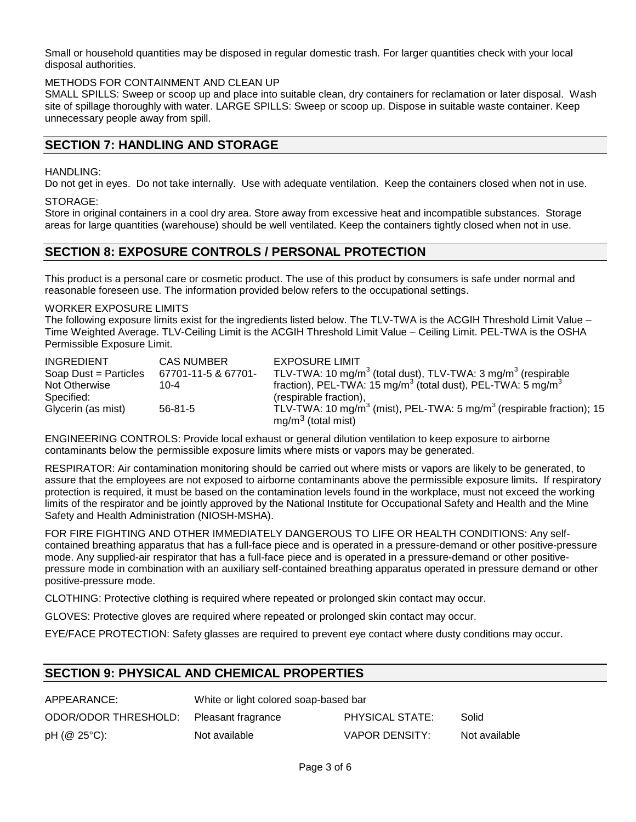Small or household quantities may be disposed in regular domestic trash. For larger quantities check with your local disposal authorities.

#### METHODS FOR CONTAINMENT AND CLEAN UP

SMALL SPILLS: Sweep or scoop up and place into suitable clean, dry containers for reclamation or later disposal. Wash site of spillage thoroughly with water. LARGE SPILLS: Sweep or scoop up. Dispose in suitable waste container. Keep unnecessary people away from spill.

## **SECTION 7: HANDLING AND STORAGE**

#### HANDLING:

Do not get in eyes. Do not take internally. Use with adequate ventilation. Keep the containers closed when not in use.

## STORAGE:

Store in original containers in a cool dry area. Store away from excessive heat and incompatible substances. Storage areas for large quantities (warehouse) should be well ventilated. Keep the containers tightly closed when not in use.

## **SECTION 8: EXPOSURE CONTROLS / PERSONAL PROTECTION**

This product is a personal care or cosmetic product. The use of this product by consumers is safe under normal and reasonable foreseen use. The information provided below refers to the occupational settings.

#### WORKER EXPOSURE LIMITS

The following exposure limits exist for the ingredients listed below. The TLV-TWA is the ACGIH Threshold Limit Value – Time Weighted Average. TLV-Ceiling Limit is the ACGIH Threshold Limit Value – Ceiling Limit. PEL-TWA is the OSHA Permissible Exposure Limit.

| <b>INGREDIENT</b>     | <b>CAS NUMBER</b>   | <b>EXPOSURE LIMIT</b>                                                                        |
|-----------------------|---------------------|----------------------------------------------------------------------------------------------|
| Soap Dust = Particles | 67701-11-5 & 67701- | TLV-TWA: 10 mg/m <sup>3</sup> (total dust), TLV-TWA: 3 mg/m <sup>3</sup> (respirable         |
| Not Otherwise         | $10 - 4$            | fraction), PEL-TWA: 15 mg/m <sup>3</sup> (total dust), PEL-TWA: 5 mg/m <sup>3</sup>          |
| Specified:            |                     | (respirable fraction),                                                                       |
| Glycerin (as mist)    | $56 - 81 - 5$       | TLV-TWA: 10 mg/m <sup>3</sup> (mist), PEL-TWA: 5 mg/m <sup>3</sup> (respirable fraction); 15 |
|                       |                     | $mg/m3$ (total mist)                                                                         |

ENGINEERING CONTROLS: Provide local exhaust or general dilution ventilation to keep exposure to airborne contaminants below the permissible exposure limits where mists or vapors may be generated.

RESPIRATOR: Air contamination monitoring should be carried out where mists or vapors are likely to be generated, to assure that the employees are not exposed to airborne contaminants above the permissible exposure limits. If respiratory protection is required, it must be based on the contamination levels found in the workplace, must not exceed the working limits of the respirator and be jointly approved by the National Institute for Occupational Safety and Health and the Mine Safety and Health Administration (NIOSH-MSHA).

FOR FIRE FIGHTING AND OTHER IMMEDIATELY DANGEROUS TO LIFE OR HEALTH CONDITIONS: Any selfcontained breathing apparatus that has a full-face piece and is operated in a pressure-demand or other positive-pressure mode. Any supplied-air respirator that has a full-face piece and is operated in a pressure-demand or other positivepressure mode in combination with an auxiliary self-contained breathing apparatus operated in pressure demand or other positive-pressure mode.

CLOTHING: Protective clothing is required where repeated or prolonged skin contact may occur.

GLOVES: Protective gloves are required where repeated or prolonged skin contact may occur.

EYE/FACE PROTECTION: Safety glasses are required to prevent eye contact where dusty conditions may occur.

# **SECTION 9: PHYSICAL AND CHEMICAL PROPERTIES**

| APPEARANCE:           | White or light colored soap-based bar |                 |               |
|-----------------------|---------------------------------------|-----------------|---------------|
| ODOR/ODOR THRESHOLD:  | Pleasant fragrance                    | PHYSICAL STATE: | Solid         |
| $pH$ ( $@$ 25 $°C$ ): | Not available                         | VAPOR DENSITY:  | Not available |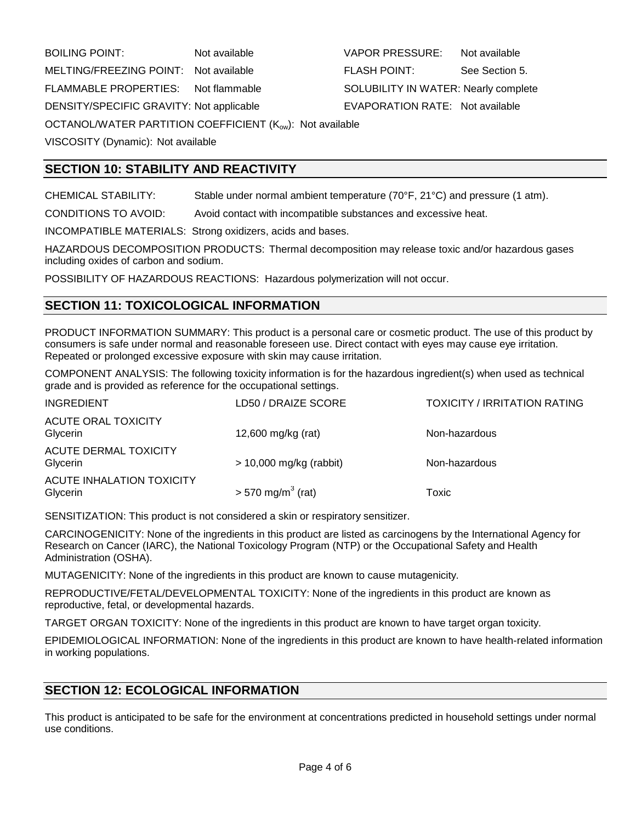BOILING POINT: Not available VAPOR PRESSURE: Not available MELTING/FREEZING POINT: Not available FLASH POINT: See Section 5. FLAMMABLE PROPERTIES: Not flammable SOLUBILITY IN WATER: Nearly complete DENSITY/SPECIFIC GRAVITY: Not applicable **EVAPORATION RATE:** Not available OCTANOL/WATER PARTITION COEFFICIENT (Kow): Not available VISCOSITY (Dynamic): Not available

**SECTION 10: STABILITY AND REACTIVITY**

CHEMICAL STABILITY: Stable under normal ambient temperature (70°F, 21°C) and pressure (1 atm).

CONDITIONS TO AVOID: Avoid contact with incompatible substances and excessive heat.

INCOMPATIBLE MATERIALS: Strong oxidizers, acids and bases.

HAZARDOUS DECOMPOSITION PRODUCTS: Thermal decomposition may release toxic and/or hazardous gases including oxides of carbon and sodium.

POSSIBILITY OF HAZARDOUS REACTIONS: Hazardous polymerization will not occur.

# **SECTION 11: TOXICOLOGICAL INFORMATION**

PRODUCT INFORMATION SUMMARY: This product is a personal care or cosmetic product. The use of this product by consumers is safe under normal and reasonable foreseen use. Direct contact with eyes may cause eye irritation. Repeated or prolonged excessive exposure with skin may cause irritation.

COMPONENT ANALYSIS: The following toxicity information is for the hazardous ingredient(s) when used as technical grade and is provided as reference for the occupational settings.

| <b>INGREDIENT</b>                        | LD50 / DRAIZE SCORE             | <b>TOXICITY / IRRITATION RATING</b> |
|------------------------------------------|---------------------------------|-------------------------------------|
| <b>ACUTE ORAL TOXICITY</b><br>Glycerin   | 12,600 mg/kg (rat)              | Non-hazardous                       |
| <b>ACUTE DERMAL TOXICITY</b><br>Glycerin | $> 10,000$ mg/kg (rabbit)       | Non-hazardous                       |
| ACUTE INHALATION TOXICITY<br>Glycerin    | $>$ 570 mg/m <sup>3</sup> (rat) | Toxic                               |

SENSITIZATION: This product is not considered a skin or respiratory sensitizer.

CARCINOGENICITY: None of the ingredients in this product are listed as carcinogens by the International Agency for Research on Cancer (IARC), the National Toxicology Program (NTP) or the Occupational Safety and Health Administration (OSHA).

MUTAGENICITY: None of the ingredients in this product are known to cause mutagenicity.

REPRODUCTIVE/FETAL/DEVELOPMENTAL TOXICITY: None of the ingredients in this product are known as reproductive, fetal, or developmental hazards.

TARGET ORGAN TOXICITY: None of the ingredients in this product are known to have target organ toxicity.

EPIDEMIOLOGICAL INFORMATION: None of the ingredients in this product are known to have health-related information in working populations.

# **SECTION 12: ECOLOGICAL INFORMATION**

This product is anticipated to be safe for the environment at concentrations predicted in household settings under normal use conditions.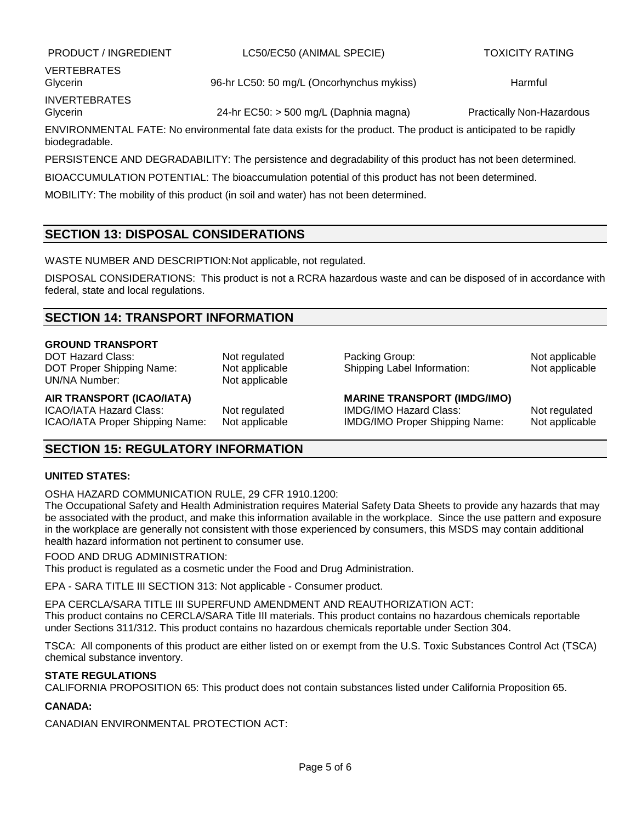PRODUCT / INGREDIENT LC50/EC50 (ANIMAL SPECIE) TOXICITY RATING

VERTEBRATES INVERTEBRATES

Glycerin **196-hr LC50: 50 mg/L (Oncorhynchus mykiss)** Harmful Harmful

Glycerin **24-hr EC50: > 500 mg/L (Daphnia magna)** Practically Non-Hazardous Practically Non-Hazardous

ENVIRONMENTAL FATE: No environmental fate data exists for the product. The product is anticipated to be rapidly biodegradable.

PERSISTENCE AND DEGRADABILITY: The persistence and degradability of this product has not been determined.

BIOACCUMULATION POTENTIAL: The bioaccumulation potential of this product has not been determined.

MOBILITY: The mobility of this product (in soil and water) has not been determined.

# **SECTION 13: DISPOSAL CONSIDERATIONS**

WASTE NUMBER AND DESCRIPTION:Not applicable, not regulated.

DISPOSAL CONSIDERATIONS: This product is not a RCRA hazardous waste and can be disposed of in accordance with federal, state and local regulations.

# **SECTION 14: TRANSPORT INFORMATION**

## **GROUND TRANSPORT**

DOT Hazard Class: Not regulated Packing Group: Not applicable Packing Group: UN/NA Number:

DOT Proper Shipping Name: Not applicable Shipping Label Information: Not applicable UN/NA Number: Not applicable

ICAO/IATA Hazard Class: Not regulated IMDG/IMO Hazard Class: Not regulated ICAO/IATA Proper Shipping Name: Not applicable IMDG/IMO Proper Shipping Name: Not applicable

## **AIR TRANSPORT (ICAO/IATA) MARINE TRANSPORT (IMDG/IMO)**

# **SECTION 15: REGULATORY INFORMATION**

# **UNITED STATES:**

OSHA HAZARD COMMUNICATION RULE, 29 CFR 1910.1200:

The Occupational Safety and Health Administration requires Material Safety Data Sheets to provide any hazards that may be associated with the product, and make this information available in the workplace. Since the use pattern and exposure in the workplace are generally not consistent with those experienced by consumers, this MSDS may contain additional health hazard information not pertinent to consumer use.

## FOOD AND DRUG ADMINISTRATION:

This product is regulated as a cosmetic under the Food and Drug Administration.

EPA - SARA TITLE III SECTION 313: Not applicable - Consumer product.

EPA CERCLA/SARA TITLE III SUPERFUND AMENDMENT AND REAUTHORIZATION ACT: This product contains no CERCLA/SARA Title III materials. This product contains no hazardous chemicals reportable under Sections 311/312. This product contains no hazardous chemicals reportable under Section 304.

TSCA: All components of this product are either listed on or exempt from the U.S. Toxic Substances Control Act (TSCA) chemical substance inventory.

# **STATE REGULATIONS**

CALIFORNIA PROPOSITION 65: This product does not contain substances listed under California Proposition 65.

# **CANADA:**

CANADIAN ENVIRONMENTAL PROTECTION ACT: